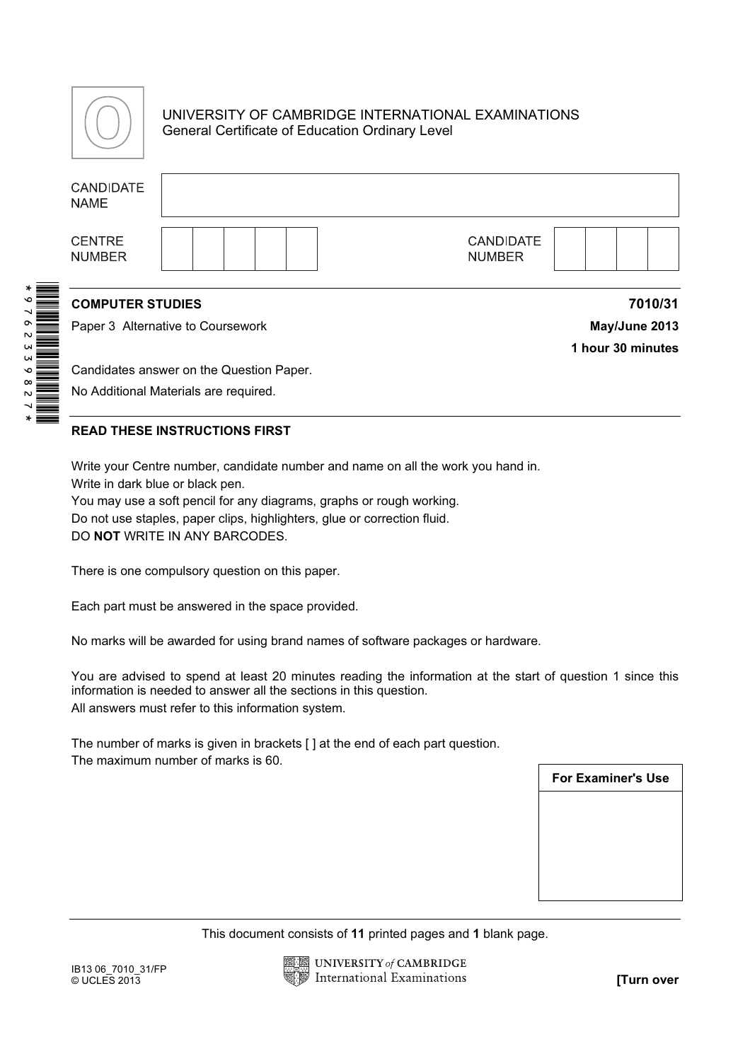

# UNIVERSITY OF CAMBRIDGE INTERNATIONAL EXAMINATIONS General Certificate of Education Ordinary Level

| <b>CANDIDATE</b><br><b>NAME</b>                                                                                                                                                                                                                                                                                                                                                                                                                                                                                                                                                                                                                                                                                                                 |  |  |  |  |  |                                                                                |                           |  |  |               |
|-------------------------------------------------------------------------------------------------------------------------------------------------------------------------------------------------------------------------------------------------------------------------------------------------------------------------------------------------------------------------------------------------------------------------------------------------------------------------------------------------------------------------------------------------------------------------------------------------------------------------------------------------------------------------------------------------------------------------------------------------|--|--|--|--|--|--------------------------------------------------------------------------------|---------------------------|--|--|---------------|
| <b>CENTRE</b><br><b>NUMBER</b>                                                                                                                                                                                                                                                                                                                                                                                                                                                                                                                                                                                                                                                                                                                  |  |  |  |  |  | <b>CANDIDATE</b><br><b>NUMBER</b>                                              |                           |  |  |               |
| <b>COMPUTER STUDIES</b>                                                                                                                                                                                                                                                                                                                                                                                                                                                                                                                                                                                                                                                                                                                         |  |  |  |  |  |                                                                                |                           |  |  | 7010/31       |
| Paper 3 Alternative to Coursework                                                                                                                                                                                                                                                                                                                                                                                                                                                                                                                                                                                                                                                                                                               |  |  |  |  |  |                                                                                |                           |  |  | May/June 2013 |
| 1 hour 30 minutes                                                                                                                                                                                                                                                                                                                                                                                                                                                                                                                                                                                                                                                                                                                               |  |  |  |  |  |                                                                                |                           |  |  |               |
| Candidates answer on the Question Paper.                                                                                                                                                                                                                                                                                                                                                                                                                                                                                                                                                                                                                                                                                                        |  |  |  |  |  |                                                                                |                           |  |  |               |
| No Additional Materials are required.                                                                                                                                                                                                                                                                                                                                                                                                                                                                                                                                                                                                                                                                                                           |  |  |  |  |  |                                                                                |                           |  |  |               |
| <b>READ THESE INSTRUCTIONS FIRST</b>                                                                                                                                                                                                                                                                                                                                                                                                                                                                                                                                                                                                                                                                                                            |  |  |  |  |  |                                                                                |                           |  |  |               |
| Write your Centre number, candidate number and name on all the work you hand in.<br>Write in dark blue or black pen.<br>You may use a soft pencil for any diagrams, graphs or rough working.<br>Do not use staples, paper clips, highlighters, glue or correction fluid.<br>DO NOT WRITE IN ANY BARCODES.<br>There is one compulsory question on this paper.<br>Each part must be answered in the space provided.<br>No marks will be awarded for using brand names of software packages or hardware.<br>You are advised to spend at least 20 minutes reading the information at the start of question 1 since this<br>information is needed to answer all the sections in this question.<br>All answers must refer to this information system. |  |  |  |  |  |                                                                                |                           |  |  |               |
|                                                                                                                                                                                                                                                                                                                                                                                                                                                                                                                                                                                                                                                                                                                                                 |  |  |  |  |  | The number of marks is given in brackets [ ] at the end of each part question. |                           |  |  |               |
| The maximum number of marks is 60.                                                                                                                                                                                                                                                                                                                                                                                                                                                                                                                                                                                                                                                                                                              |  |  |  |  |  |                                                                                | <b>For Examiner's Use</b> |  |  |               |
|                                                                                                                                                                                                                                                                                                                                                                                                                                                                                                                                                                                                                                                                                                                                                 |  |  |  |  |  |                                                                                |                           |  |  |               |
|                                                                                                                                                                                                                                                                                                                                                                                                                                                                                                                                                                                                                                                                                                                                                 |  |  |  |  |  |                                                                                |                           |  |  |               |
|                                                                                                                                                                                                                                                                                                                                                                                                                                                                                                                                                                                                                                                                                                                                                 |  |  |  |  |  |                                                                                |                           |  |  |               |
|                                                                                                                                                                                                                                                                                                                                                                                                                                                                                                                                                                                                                                                                                                                                                 |  |  |  |  |  |                                                                                |                           |  |  |               |
|                                                                                                                                                                                                                                                                                                                                                                                                                                                                                                                                                                                                                                                                                                                                                 |  |  |  |  |  |                                                                                |                           |  |  |               |
| This document consists of 11 printed pages and 1 blank page.                                                                                                                                                                                                                                                                                                                                                                                                                                                                                                                                                                                                                                                                                    |  |  |  |  |  |                                                                                |                           |  |  |               |
|                                                                                                                                                                                                                                                                                                                                                                                                                                                                                                                                                                                                                                                                                                                                                 |  |  |  |  |  | <b>UNIVERSITY of CAMBRIDGE</b>                                                 |                           |  |  |               |
| IB13 06_7010_31/FP<br>$@$ UCLES 2013                                                                                                                                                                                                                                                                                                                                                                                                                                                                                                                                                                                                                                                                                                            |  |  |  |  |  | International Examinations                                                     |                           |  |  | [Turn over    |

## READ THESE INSTRUCTIONS FIRST



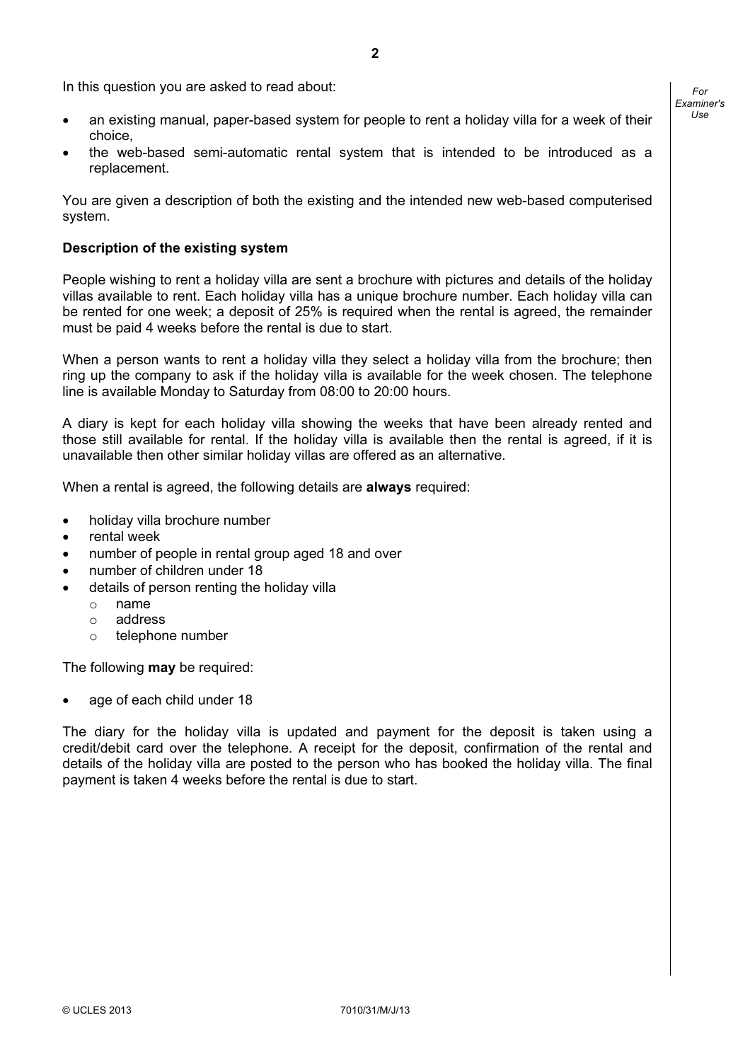For Examiner's  $1$ se

- an existing manual, paper-based system for people to rent a holiday villa for a week of their choice,
- the web-based semi-automatic rental system that is intended to be introduced as a replacement.

You are given a description of both the existing and the intended new web-based computerised system.

#### Description of the existing system

People wishing to rent a holiday villa are sent a brochure with pictures and details of the holiday villas available to rent. Each holiday villa has a unique brochure number. Each holiday villa can be rented for one week; a deposit of 25% is required when the rental is agreed, the remainder must be paid 4 weeks before the rental is due to start.

When a person wants to rent a holiday villa they select a holiday villa from the brochure; then ring up the company to ask if the holiday villa is available for the week chosen. The telephone line is available Monday to Saturday from 08:00 to 20:00 hours.

A diary is kept for each holiday villa showing the weeks that have been already rented and those still available for rental. If the holiday villa is available then the rental is agreed, if it is unavailable then other similar holiday villas are offered as an alternative.

When a rental is agreed, the following details are **always** required:

- holiday villa brochure number
- rental week
- number of people in rental group aged 18 and over
- number of children under 18
- details of person renting the holiday villa
	- o name
	- o address
	- o telephone number

The following **may** be required:

age of each child under 18

The diary for the holiday villa is updated and payment for the deposit is taken using a credit/debit card over the telephone. A receipt for the deposit, confirmation of the rental and details of the holiday villa are posted to the person who has booked the holiday villa. The final payment is taken 4 weeks before the rental is due to start.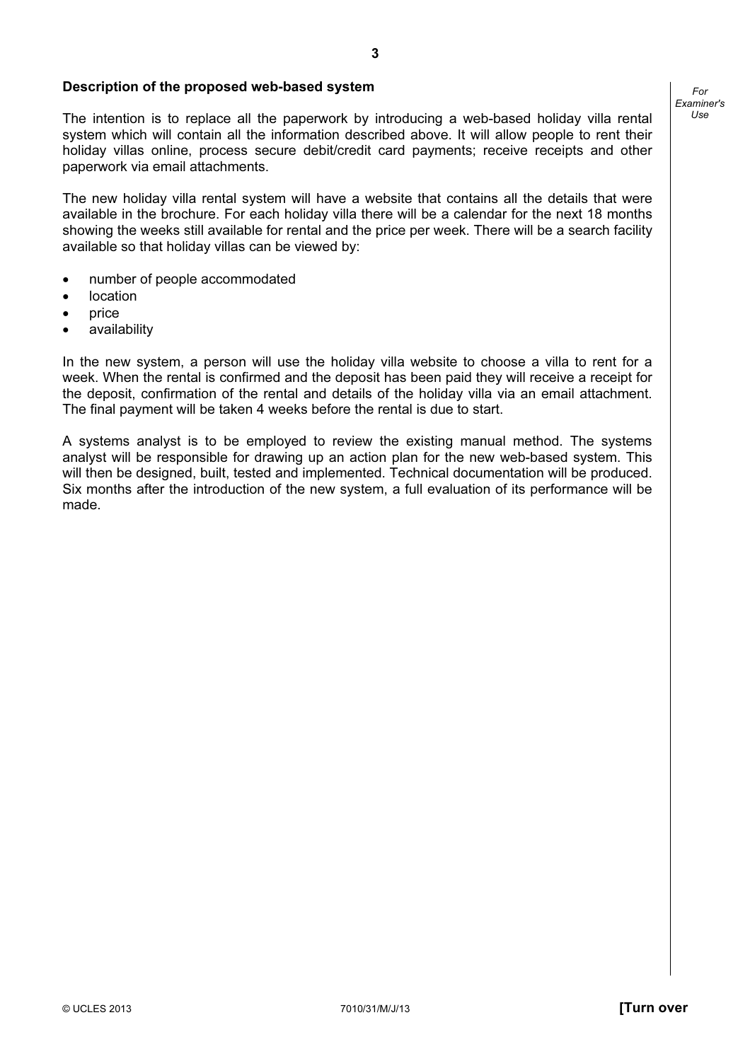#### Description of the proposed web-based system

The intention is to replace all the paperwork by introducing a web-based holiday villa rental system which will contain all the information described above. It will allow people to rent their holiday villas online, process secure debit/credit card payments; receive receipts and other paperwork via email attachments.

The new holiday villa rental system will have a website that contains all the details that were available in the brochure. For each holiday villa there will be a calendar for the next 18 months showing the weeks still available for rental and the price per week. There will be a search facility available so that holiday villas can be viewed by:

- number of people accommodated
- location
- price
- availability

In the new system, a person will use the holiday villa website to choose a villa to rent for a week. When the rental is confirmed and the deposit has been paid they will receive a receipt for the deposit, confirmation of the rental and details of the holiday villa via an email attachment. The final payment will be taken 4 weeks before the rental is due to start.

A systems analyst is to be employed to review the existing manual method. The systems analyst will be responsible for drawing up an action plan for the new web-based system. This will then be designed, built, tested and implemented. Technical documentation will be produced. Six months after the introduction of the new system, a full evaluation of its performance will be made.

For Examiner's  $1$ se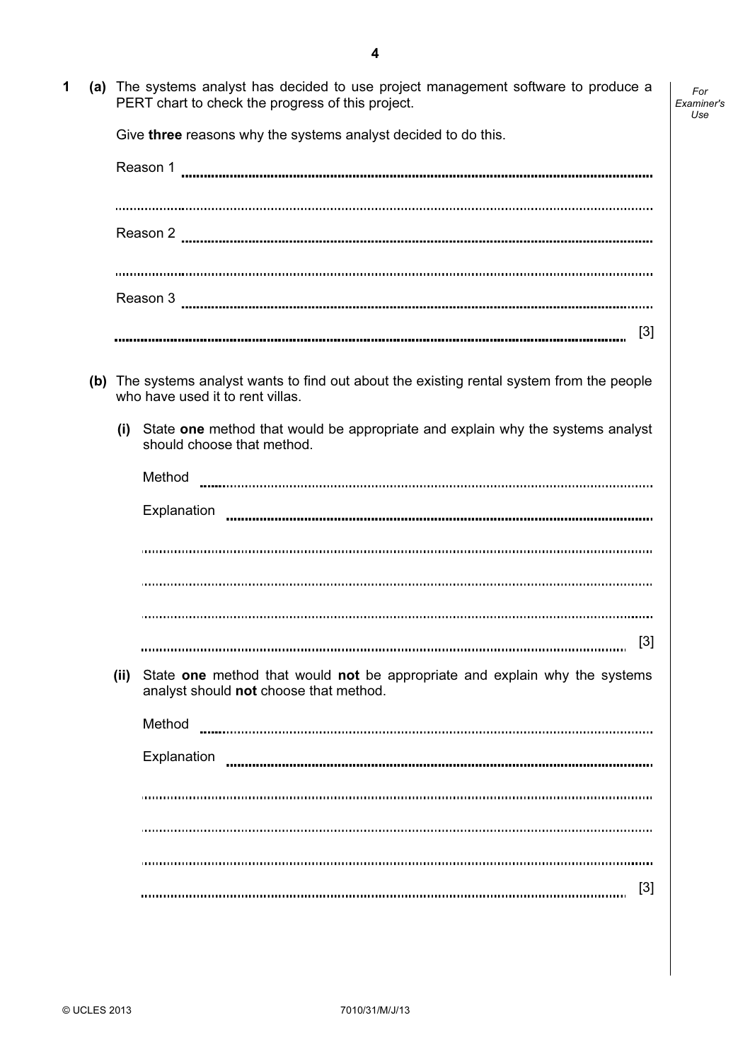- For Examiner's Use
- 1 (a) The systems analyst has decided to use project management software to produce a PERT chart to check the progress of this project.

Give three reasons why the systems analyst decided to do this.

|       | Reason 3 <b>www.communistical communistical communistical</b> communistic communistic communistic communistic communist        |  |  |  |  |
|-------|--------------------------------------------------------------------------------------------------------------------------------|--|--|--|--|
|       | $[3]$                                                                                                                          |  |  |  |  |
|       | (b) The systems analyst wants to find out about the existing rental system from the people<br>who have used it to rent villas. |  |  |  |  |
| (i)   | State one method that would be appropriate and explain why the systems analyst<br>should choose that method.                   |  |  |  |  |
|       | Method                                                                                                                         |  |  |  |  |
|       | Explanation                                                                                                                    |  |  |  |  |
|       |                                                                                                                                |  |  |  |  |
|       |                                                                                                                                |  |  |  |  |
|       |                                                                                                                                |  |  |  |  |
|       | $[3]$                                                                                                                          |  |  |  |  |
| (iii) | State one method that would not be appropriate and explain why the systems<br>analyst should not choose that method.           |  |  |  |  |
|       | Method                                                                                                                         |  |  |  |  |
|       | Explanation                                                                                                                    |  |  |  |  |
|       |                                                                                                                                |  |  |  |  |
|       |                                                                                                                                |  |  |  |  |
|       |                                                                                                                                |  |  |  |  |
|       | $\lceil 3 \rceil$                                                                                                              |  |  |  |  |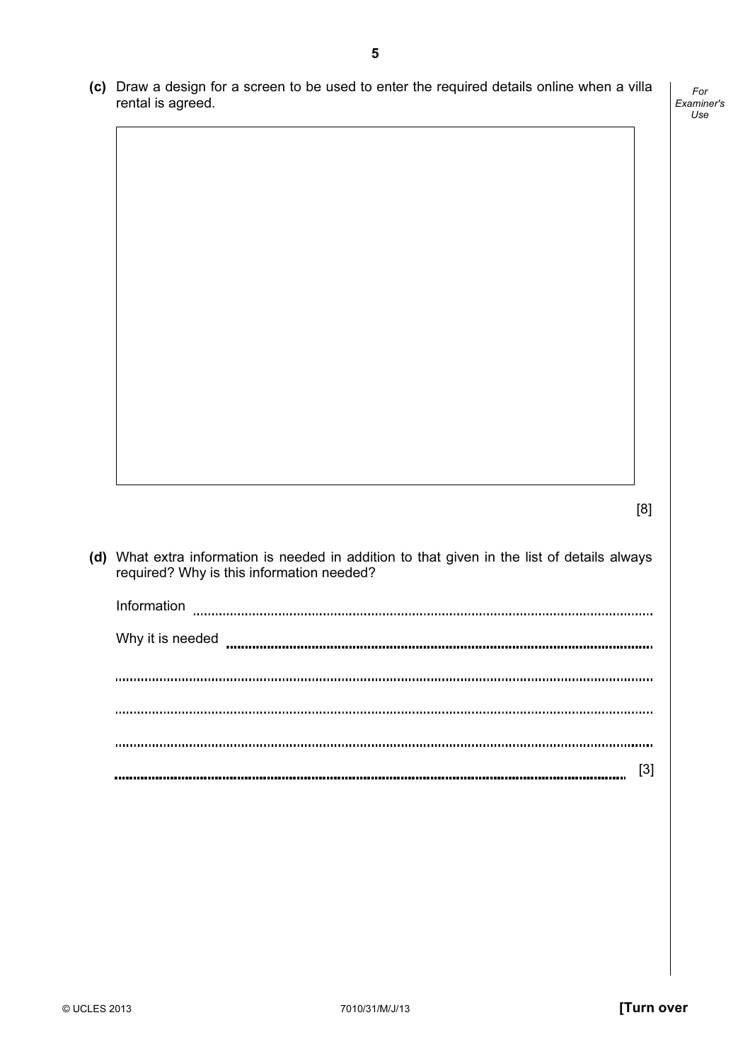(c) Draw a design for a screen to be used to enter the required details online when a villa rental is agreed.

For Examiner's Use

|                                                                                                                                           | [8] |
|-------------------------------------------------------------------------------------------------------------------------------------------|-----|
| (d) What extra information is needed in addition to that given in the list of details always<br>required? Why is this information needed? |     |
| Information                                                                                                                               |     |
| Why it is needed                                                                                                                          |     |
|                                                                                                                                           |     |
|                                                                                                                                           |     |
|                                                                                                                                           |     |
|                                                                                                                                           | [3] |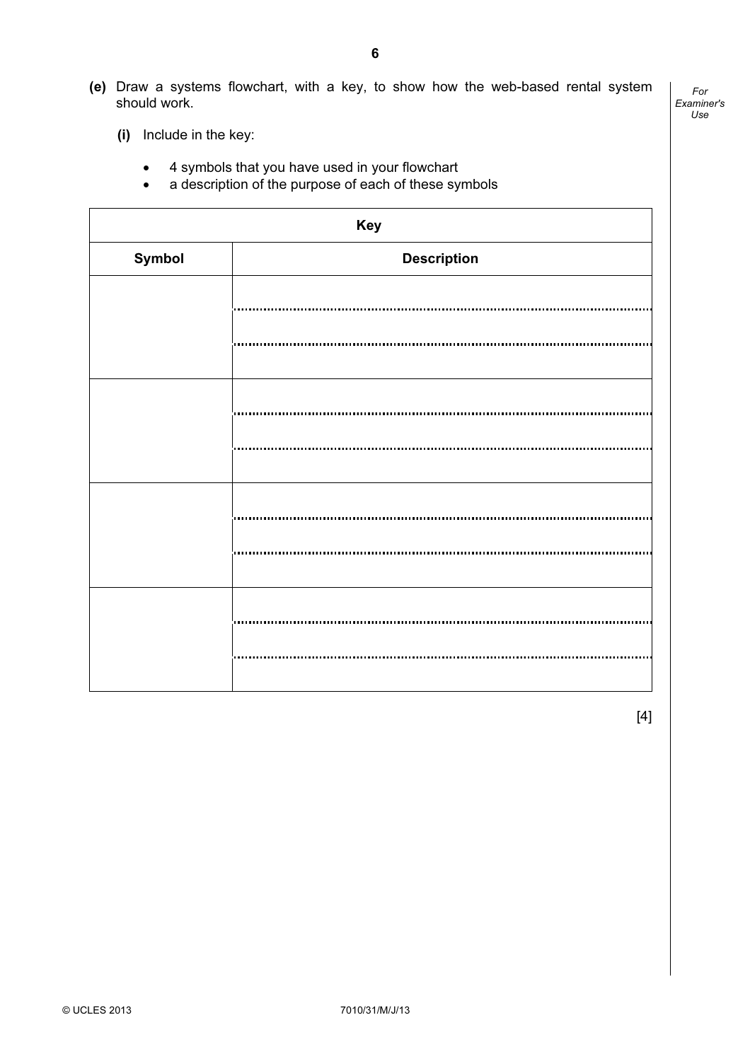(e) Draw a systems flowchart, with a key, to show how the web-based rental system should work.

For Examiner's Use

- (i) Include in the key:
	- 4 symbols that you have used in your flowchart
	- a description of the purpose of each of these symbols

| Key    |                    |  |  |  |
|--------|--------------------|--|--|--|
| Symbol | <b>Description</b> |  |  |  |
|        |                    |  |  |  |
|        |                    |  |  |  |
|        |                    |  |  |  |
|        |                    |  |  |  |
|        |                    |  |  |  |
|        |                    |  |  |  |
|        |                    |  |  |  |
|        |                    |  |  |  |
|        |                    |  |  |  |
|        |                    |  |  |  |
|        |                    |  |  |  |

[4]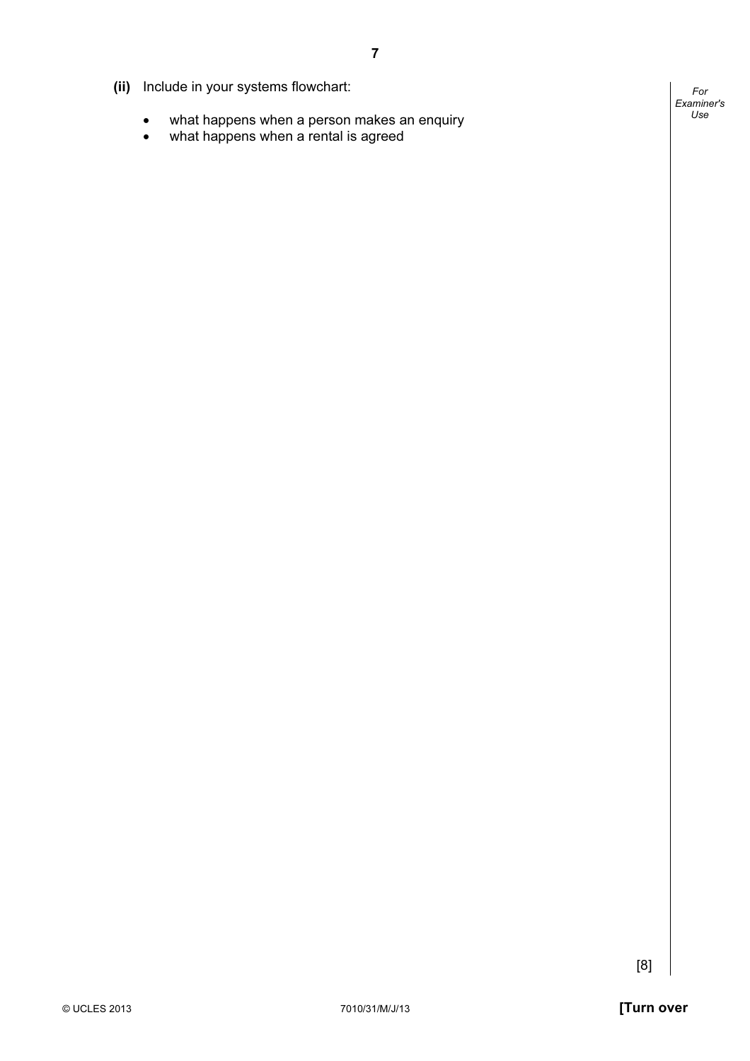- (ii) Include in your systems flowchart:
	- what happens when a person makes an enquiry
	- what happens when a rental is agreed

For Examiner's Use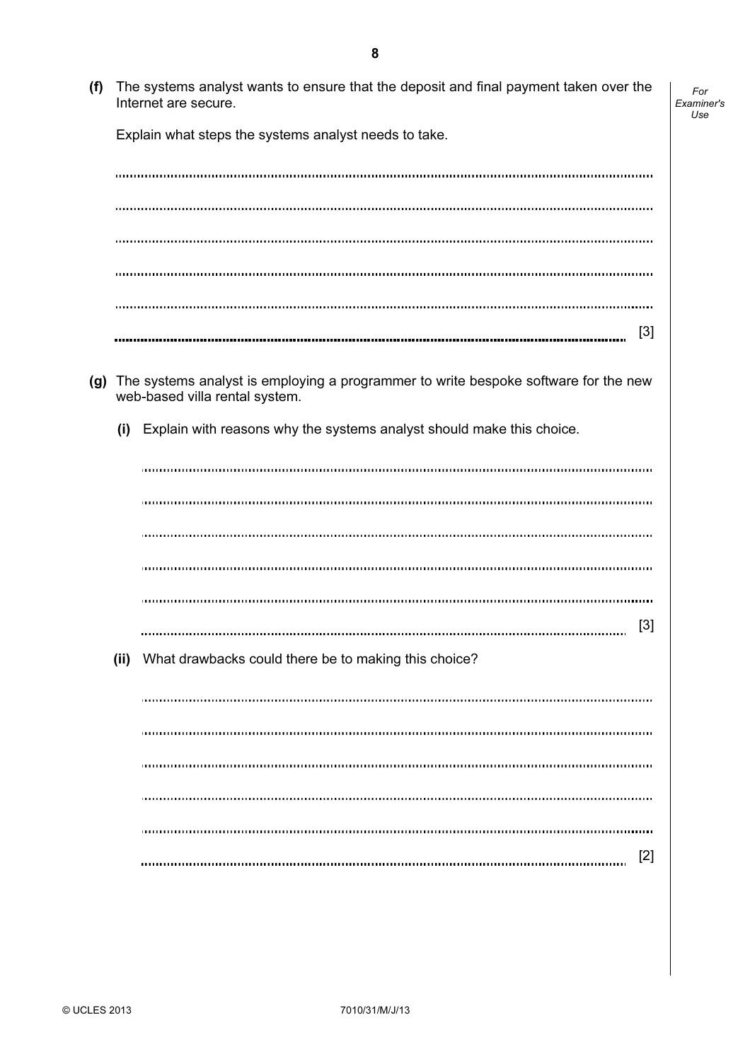(f) The systems analyst wants to ensure that the deposit and final payment taken over the Internet are secure.

For Examiner's Use

Explain what steps the systems analyst needs to take.

[3] 

- (g) The systems analyst is employing a programmer to write bespoke software for the new web-based villa rental system.
	- (i) Explain with reasons why the systems analyst should make this choice.

[3] 

(ii) What drawbacks could there be to making this choice?

[2]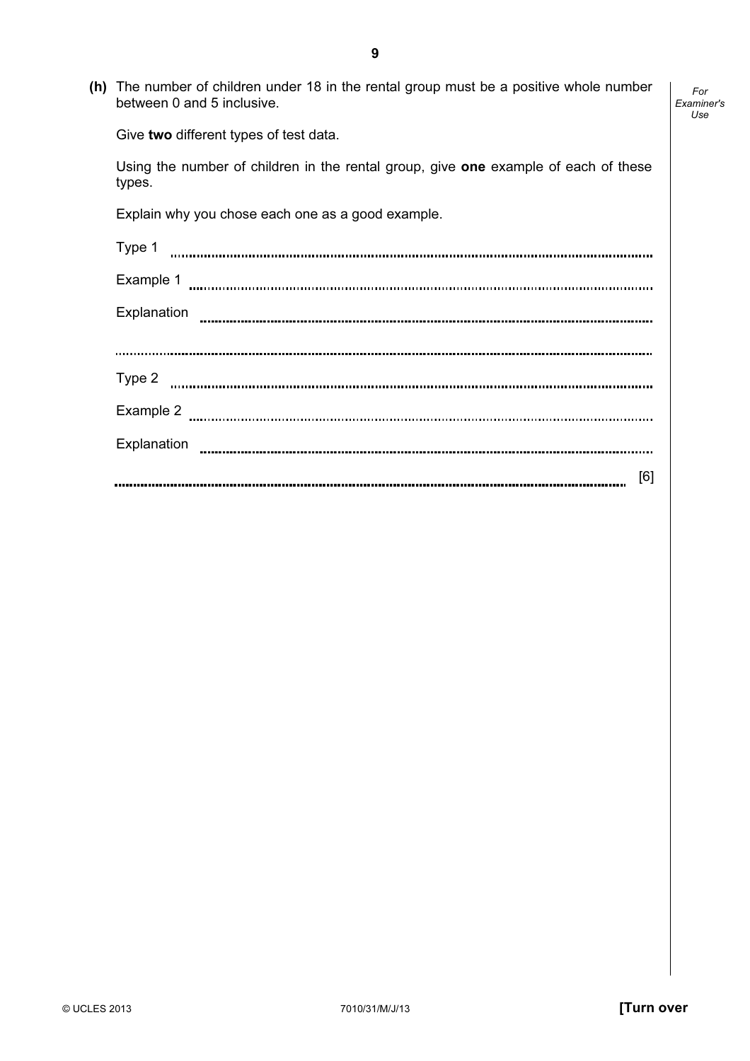(h) The number of children under 18 in the rental group must be a positive whole number between 0 and 5 inclusive.

9

Give two different types of test data.

 Using the number of children in the rental group, give one example of each of these types.

Explain why you chose each one as a good example.

| Type 1      |         |
|-------------|---------|
| Example 1   |         |
| Explanation |         |
|             |         |
| Type 2<br>. |         |
| Example 2   |         |
| Explanation |         |
|             | [6]<br> |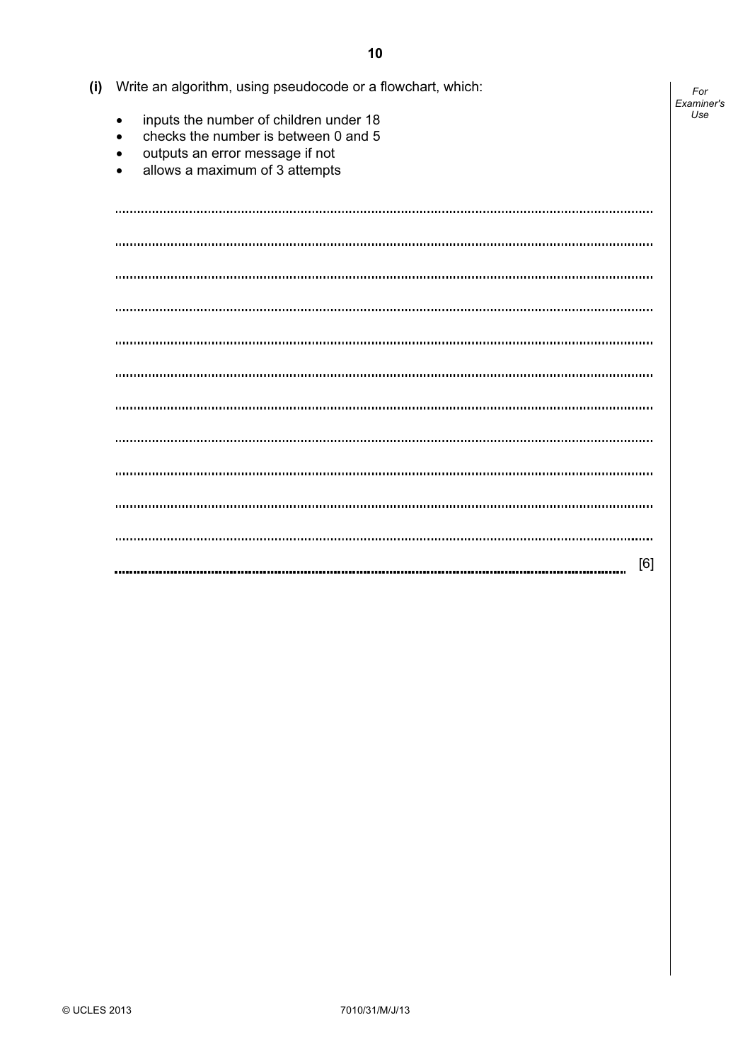| (i) | Write an algorithm, using pseudocode or a flowchart, which:                                                                                                                                             |                   |  |  |  |  |  |  |
|-----|---------------------------------------------------------------------------------------------------------------------------------------------------------------------------------------------------------|-------------------|--|--|--|--|--|--|
|     | inputs the number of children under 18<br>$\bullet$<br>checks the number is between 0 and 5<br>$\bullet$<br>outputs an error message if not<br>$\bullet$<br>allows a maximum of 3 attempts<br>$\bullet$ | Examiner's<br>Use |  |  |  |  |  |  |
|     |                                                                                                                                                                                                         |                   |  |  |  |  |  |  |
|     | $\cdots$                                                                                                                                                                                                |                   |  |  |  |  |  |  |
|     |                                                                                                                                                                                                         |                   |  |  |  |  |  |  |
|     |                                                                                                                                                                                                         |                   |  |  |  |  |  |  |
|     |                                                                                                                                                                                                         |                   |  |  |  |  |  |  |
|     |                                                                                                                                                                                                         |                   |  |  |  |  |  |  |
|     |                                                                                                                                                                                                         |                   |  |  |  |  |  |  |
|     |                                                                                                                                                                                                         |                   |  |  |  |  |  |  |
|     |                                                                                                                                                                                                         |                   |  |  |  |  |  |  |
|     |                                                                                                                                                                                                         |                   |  |  |  |  |  |  |
|     |                                                                                                                                                                                                         |                   |  |  |  |  |  |  |
|     | [6]                                                                                                                                                                                                     |                   |  |  |  |  |  |  |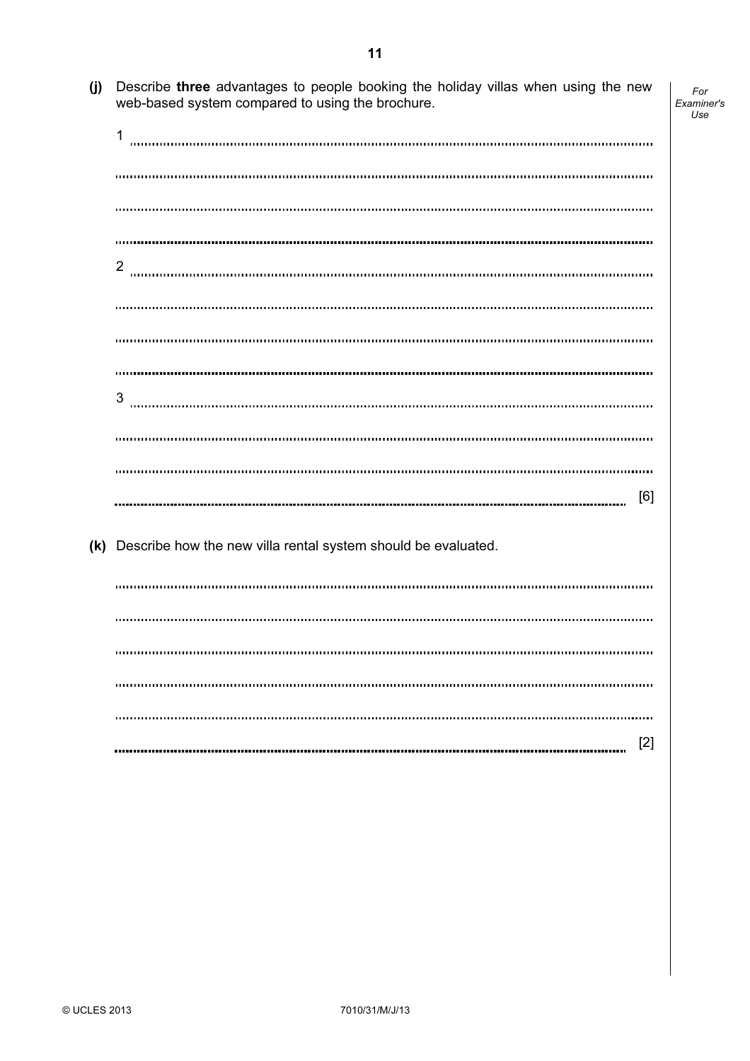(j) Describe three advantages to people booking the holiday villas when using the new web-based system compared to using the brochure.

For Examiner's Use

| 1                                                                 |
|-------------------------------------------------------------------|
|                                                                   |
|                                                                   |
|                                                                   |
| $\overline{2}$                                                    |
|                                                                   |
|                                                                   |
|                                                                   |
| 3                                                                 |
|                                                                   |
|                                                                   |
| [6]                                                               |
| (k) Describe how the new villa rental system should be evaluated. |
|                                                                   |
|                                                                   |
|                                                                   |
|                                                                   |
|                                                                   |
| $[2]$                                                             |